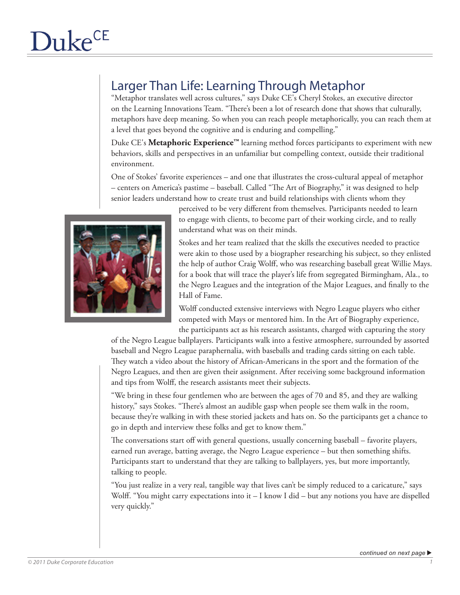## Larger Than Life: Learning Through Metaphor

"Metaphor translates well across cultures," says Duke CE's Cheryl Stokes, an executive director on the Learning Innovations Team. "There's been a lot of research done that shows that culturally, metaphors have deep meaning. So when you can reach people metaphorically, you can reach them at a level that goes beyond the cognitive and is enduring and compelling."

Duke CE's **Metaphoric Experience™** learning method forces participants to experiment with new behaviors, skills and perspectives in an unfamiliar but compelling context, outside their traditional environment.

One of Stokes' favorite experiences – and one that illustrates the cross-cultural appeal of metaphor – centers on America's pastime – baseball. Called "The Art of Biography," it was designed to help senior leaders understand how to create trust and build relationships with clients whom they



perceived to be very different from themselves. Participants needed to learn to engage with clients, to become part of their working circle, and to really understand what was on their minds.

Stokes and her team realized that the skills the executives needed to practice were akin to those used by a biographer researching his subject, so they enlisted the help of author Craig Wolff, who was researching baseball great Willie Mays. for a book that will trace the player's life from segregated Birmingham, Ala., to the Negro Leagues and the integration of the Major Leagues, and finally to the Hall of Fame.

Wolff conducted extensive interviews with Negro League players who either competed with Mays or mentored him. In the Art of Biography experience, the participants act as his research assistants, charged with capturing the story

of the Negro League ballplayers. Participants walk into a festive atmosphere, surrounded by assorted baseball and Negro League paraphernalia, with baseballs and trading cards sitting on each table. They watch a video about the history of African-Americans in the sport and the formation of the Negro Leagues, and then are given their assignment. After receiving some background information and tips from Wolff, the research assistants meet their subjects.

"We bring in these four gentlemen who are between the ages of 70 and 85, and they are walking history," says Stokes. "There's almost an audible gasp when people see them walk in the room, because they're walking in with these storied jackets and hats on. So the participants get a chance to go in depth and interview these folks and get to know them."

The conversations start off with general questions, usually concerning baseball – favorite players, earned run average, batting average, the Negro League experience – but then something shifts. Participants start to understand that they are talking to ballplayers, yes, but more importantly, talking to people.

"You just realize in a very real, tangible way that lives can't be simply reduced to a caricature," says Wolff. "You might carry expectations into it – I know I did – but any notions you have are dispelled very quickly."